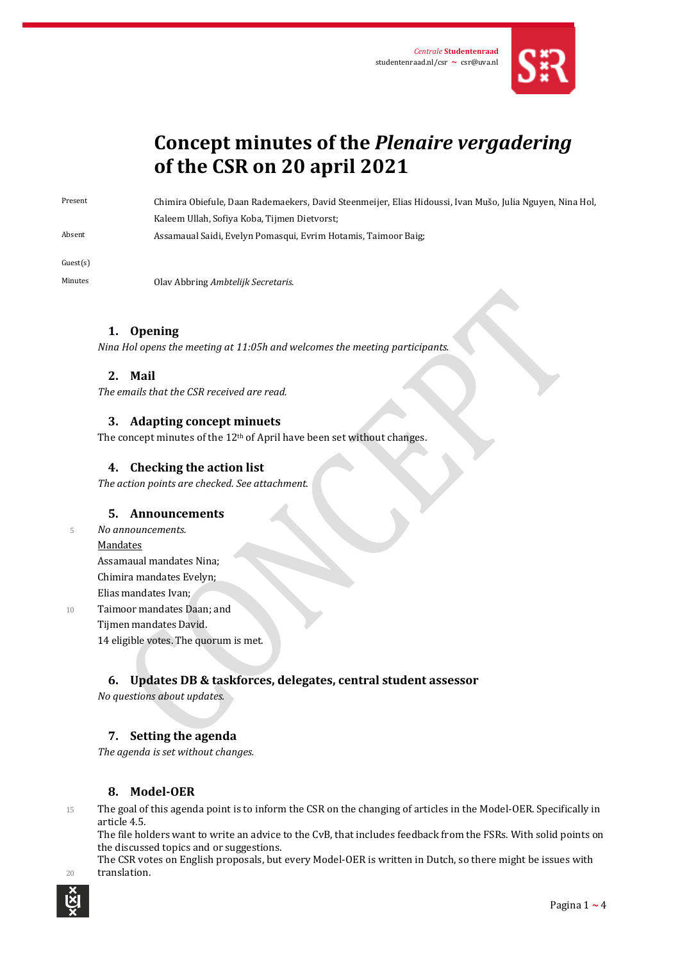

# **Concept minutes of the** *Plenaire vergadering* **of the CSR on 20 april 2021**

Present Chimira Obiefule, Daan Rademaekers, David Steenmeijer, Elias Hidoussi, Ivan Mušo, Julia Nguyen, Nina Hol, Kaleem Ullah, Sofiya Koba, Tijmen Dietvorst;

Absent Assamaual Saidi, Evelyn Pomasqui, Evrim Hotamis, Taimoor Baig;

Guest(s)

Minutes Olav Abbring *Ambtelijk Secretaris*.

## **1. Opening**

*Nina Hol opens the meeting at 11:05h and welcomes the meeting participants.* 

## **2. Mail**

*The emails that the CSR received are read.*

## **3. Adapting concept minuets**

The concept minutes of the 12<sup>th</sup> of April have been set without changes.

## **4. Checking the action list**

*The action points are checked. See attachment.*

## **5. Announcements**

<sup>5</sup> *No announcements.*

#### Mandates

Assamaual mandates Nina; Chimira mandates Evelyn; Elias mandates Ivan;

10 Taimoor mandates Daan; and Tijmen mandates David. 14 eligible votes. The quorum is met.

## **6. Updates DB & taskforces, delegates, central student assessor**

*No questions about updates.*

## **7. Setting the agenda**

*The agenda is set without changes.*

# **8. Model-OER**

15 The goal of this agenda point is to inform the CSR on the changing of articles in the Model-OER. Specifically in article 4.5.

The file holders want to write an advice to the CvB, that includes feedback from the FSRs. With solid points on the discussed topics and or suggestions.

The CSR votes on English proposals, but every Model-OER is written in Dutch, so there might be issues with 20 translation.

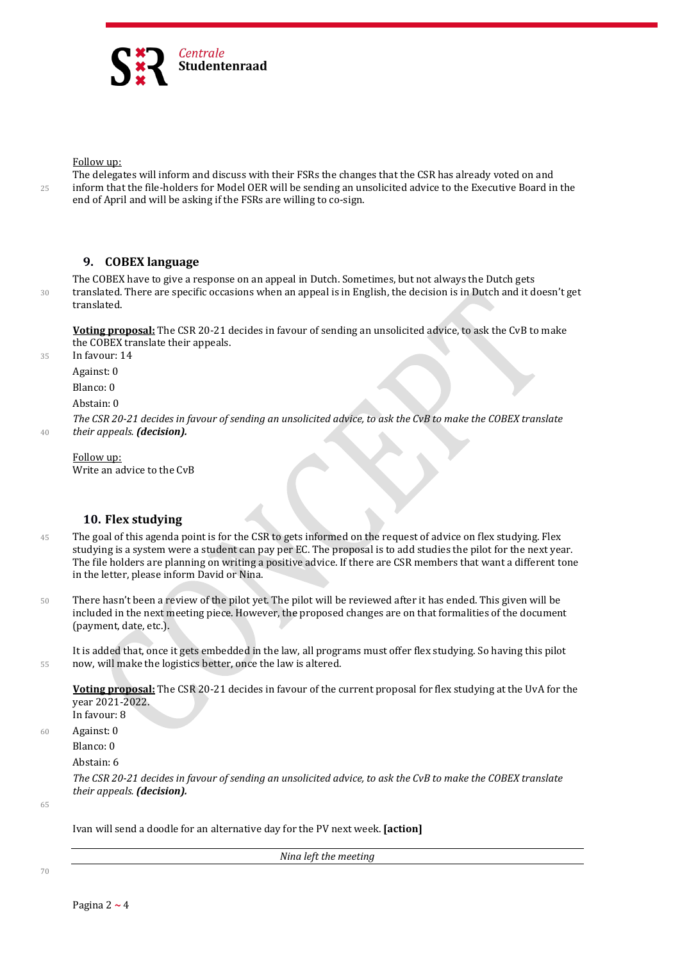

Follow up:

The delegates will inform and discuss with their FSRs the changes that the CSR has already voted on and 25 inform that the file-holders for Model OER will be sending an unsolicited advice to the Executive Board in the end of April and will be asking if the FSRs are willing to co-sign.

#### **9. COBEX language**

The COBEX have to give a response on an appeal in Dutch. Sometimes, but not always the Dutch gets 30 translated. There are specific occasions when an appeal is in English, the decision is in Dutch and it doesn't get translated.

**Voting proposal:** The CSR 20-21 decides in favour of sending an unsolicited advice, to ask the CvB to make the COBEX translate their appeals.

35 In favour: 14

Against: 0

Blanco: 0

Abstain: 0

*The CSR 20-21 decides in favour of sending an unsolicited advice, to ask the CvB to make the COBEX translate*  <sup>40</sup> *their appeals. (decision).*

Follow up: Write an advice to the CvB

### **10. Flex studying**

- 45 The goal of this agenda point is for the CSR to gets informed on the request of advice on flex studying. Flex studying is a system were a student can pay per EC. The proposal is to add studies the pilot for the next year. The file holders are planning on writing a positive advice. If there are CSR members that want a different tone in the letter, please inform David or Nina.
- 50 There hasn't been a review of the pilot yet. The pilot will be reviewed after it has ended. This given will be included in the next meeting piece. However, the proposed changes are on that formalities of the document (payment, date, etc.).

It is added that, once it gets embedded in the law, all programs must offer flex studying. So having this pilot 55 now, will make the logistics better, once the law is altered.

**Voting proposal:** The CSR 20-21 decides in favour of the current proposal for flex studying at the UvA for the year 2021-2022. In favour: 8

60 Against: 0

Blanco: 0

Abstain: 6

*The CSR 20-21 decides in favour of sending an unsolicited advice, to ask the CvB to make the COBEX translate their appeals. (decision).*

65

Ivan will send a doodle for an alternative day for the PV next week. **[action]**

*Nina left the meeting*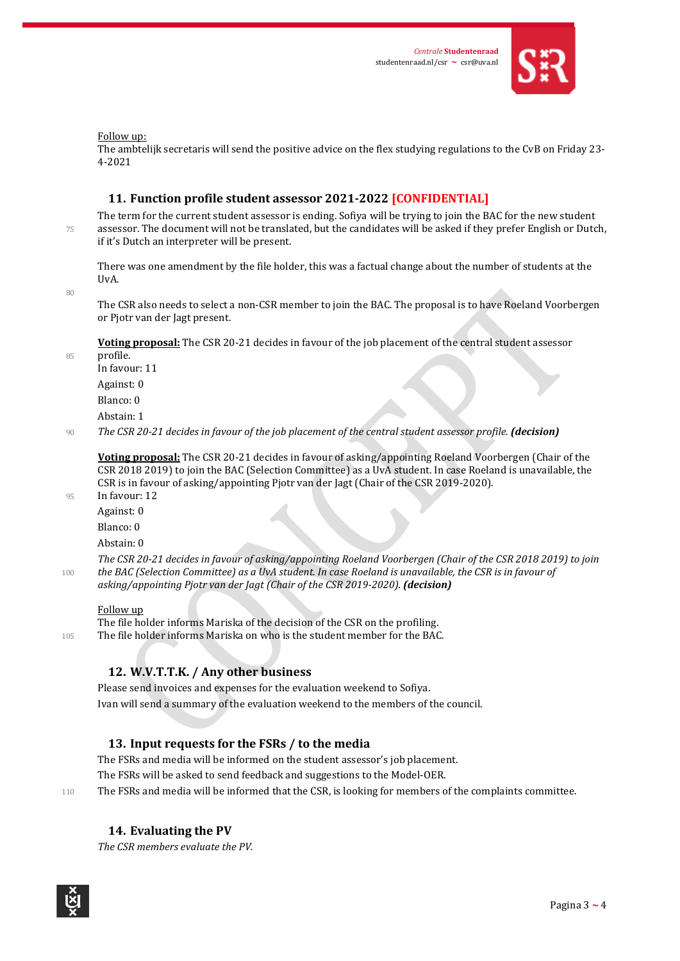

Follow up:

The ambtelijk secretaris will send the positive advice on the flex studying regulations to the CvB on Friday 23- 4-2021

#### **11. Function profile student assessor 2021-2022 [CONFIDENTIAL]**

The term for the current student assessor is ending. Sofiya will be trying to join the BAC for the new student 75 assessor. The document will not be translated, but the candidates will be asked if they prefer English or Dutch, if it's Dutch an interpreter will be present.

There was one amendment by the file holder, this was a factual change about the number of students at the UvA.

80

The CSR also needs to select a non-CSR member to join the BAC. The proposal is to have Roeland Voorbergen or Pjotr van der Jagt present.

**Voting proposal:** The CSR 20-21 decides in favour of the job placement of the central student assessor

85 profile. In favour: 11

Against: 0

Blanco: 0

Abstain: 1

#### <sup>90</sup> *The CSR 20-21 decides in favour of the job placement of the central student assessor profile. (decision)*

**Voting proposal:** The CSR 20-21 decides in favour of asking/appointing Roeland Voorbergen (Chair of the CSR 2018 2019) to join the BAC (Selection Committee) as a UvA student. In case Roeland is unavailable, the CSR is in favour of asking/appointing Pjotr van der Jagt (Chair of the CSR 2019-2020). 95 In favour: 12

Against: 0 Blanco: 0

Abstain: 0

*The CSR 20-21 decides in favour of asking/appointing Roeland Voorbergen (Chair of the CSR 2018 2019) to join*  <sup>100</sup> *the BAC (Selection Committee) as a UvA student. In case Roeland is unavailable, the CSR is in favour of asking/appointing Pjotr van der Jagt (Chair of the CSR 2019-2020). (decision)*

#### Follow up

The file holder informs Mariska of the decision of the CSR on the profiling. 105 The file holder informs Mariska on who is the student member for the BAC.

## **12. W.V.T.T.K. / Any other business**

Please send invoices and expenses for the evaluation weekend to Sofiya. Ivan will send a summary of the evaluation weekend to the members of the council.

## **13. Input requests for the FSRs / to the media**

The FSRs and media will be informed on the student assessor's job placement.

The FSRs will be asked to send feedback and suggestions to the Model-OER.

110 The FSRs and media will be informed that the CSR, is looking for members of the complaints committee.

## **14. Evaluating the PV**

*The CSR members evaluate the PV.*